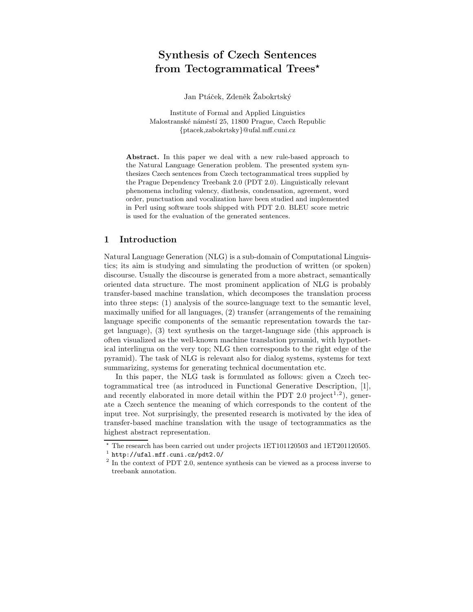# Synthesis of Czech Sentences from Tectogrammatical Trees<sup>\*</sup>

Jan Ptáček, Zdeněk Žabokrtský

Institute of Formal and Applied Linguistics Malostranské náměstí 25, 11800 Prague, Czech Republic {ptacek,zabokrtsky}@ufal.mff.cuni.cz

Abstract. In this paper we deal with a new rule-based approach to the Natural Language Generation problem. The presented system synthesizes Czech sentences from Czech tectogrammatical trees supplied by the Prague Dependency Treebank 2.0 (PDT 2.0). Linguistically relevant phenomena including valency, diathesis, condensation, agreement, word order, punctuation and vocalization have been studied and implemented in Perl using software tools shipped with PDT 2.0. BLEU score metric is used for the evaluation of the generated sentences.

## 1 Introduction

Natural Language Generation (NLG) is a sub-domain of Computational Linguistics; its aim is studying and simulating the production of written (or spoken) discourse. Usually the discourse is generated from a more abstract, semantically oriented data structure. The most prominent application of NLG is probably transfer-based machine translation, which decomposes the translation process into three steps: (1) analysis of the source-language text to the semantic level, maximally unified for all languages, (2) transfer (arrangements of the remaining language specific components of the semantic representation towards the target language), (3) text synthesis on the target-language side (this approach is often visualized as the well-known machine translation pyramid, with hypothetical interlingua on the very top; NLG then corresponds to the right edge of the pyramid). The task of NLG is relevant also for dialog systems, systems for text summarizing, systems for generating technical documentation etc.

In this paper, the NLG task is formulated as follows: given a Czech tectogrammatical tree (as introduced in Functional Generative Description, [1], and recently elaborated in more detail within the PDT 2.0 project<sup>1,2</sup>), generate a Czech sentence the meaning of which corresponds to the content of the input tree. Not surprisingly, the presented research is motivated by the idea of transfer-based machine translation with the usage of tectogrammatics as the highest abstract representation.

 $1$  http://ufal.mff.cuni.cz/pdt2.0/

<sup>?</sup> The research has been carried out under projects 1ET101120503 and 1ET201120505.

<sup>&</sup>lt;sup>2</sup> In the context of PDT 2.0, sentence synthesis can be viewed as a process inverse to treebank annotation.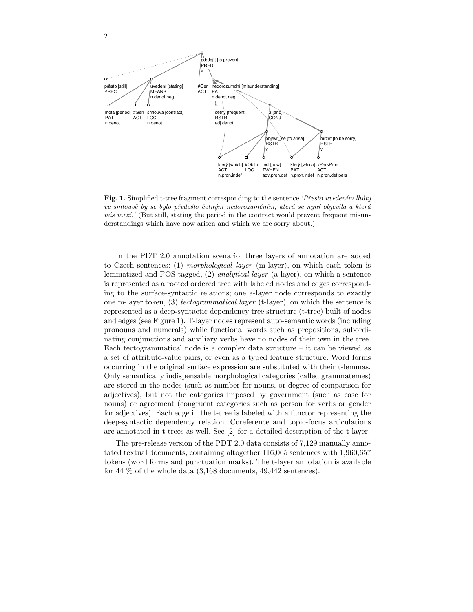

Fig. 1. Simplified t-tree fragment corresponding to the sentence ' $P\check{r}$ esto uvedením lhůty ve smlouvě by se bylo předešlo četným nedorozuměním, která se nyní objevila a která nás mrzí.' (But still, stating the period in the contract would prevent frequent misunderstandings which have now arisen and which we are sorry about.)

In the PDT 2.0 annotation scenario, three layers of annotation are added to Czech sentences: (1) morphological layer (m-layer), on which each token is lemmatized and POS-tagged, (2) analytical layer (a-layer), on which a sentence is represented as a rooted ordered tree with labeled nodes and edges corresponding to the surface-syntactic relations; one a-layer node corresponds to exactly one m-layer token, (3) tectogrammatical layer (t-layer), on which the sentence is represented as a deep-syntactic dependency tree structure (t-tree) built of nodes and edges (see Figure 1). T-layer nodes represent auto-semantic words (including pronouns and numerals) while functional words such as prepositions, subordinating conjunctions and auxiliary verbs have no nodes of their own in the tree. Each tectogrammatical node is a complex data structure  $-$  it can be viewed as a set of attribute-value pairs, or even as a typed feature structure. Word forms occurring in the original surface expression are substituted with their t-lemmas. Only semantically indispensable morphological categories (called grammatemes) are stored in the nodes (such as number for nouns, or degree of comparison for adjectives), but not the categories imposed by government (such as case for nouns) or agreement (congruent categories such as person for verbs or gender for adjectives). Each edge in the t-tree is labeled with a functor representing the deep-syntactic dependency relation. Coreference and topic-focus articulations are annotated in t-trees as well. See [2] for a detailed description of the t-layer.

The pre-release version of the PDT 2.0 data consists of 7,129 manually annotated textual documents, containing altogether 116,065 sentences with 1,960,657 tokens (word forms and punctuation marks). The t-layer annotation is available for 44  $\%$  of the whole data  $(3.168$  documents, 49,442 sentences).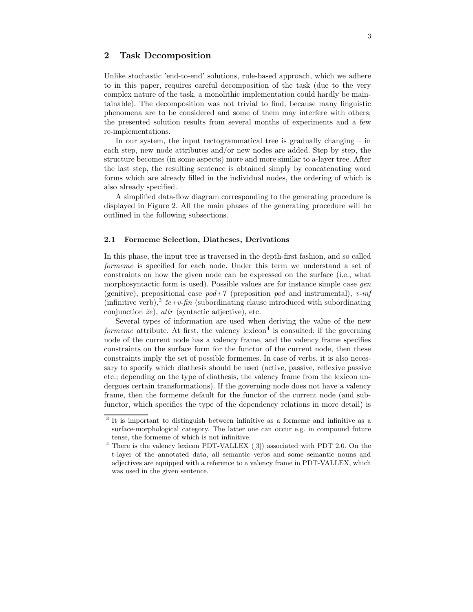## 2 Task Decomposition

Unlike stochastic 'end-to-end' solutions, rule-based approach, which we adhere to in this paper, requires careful decomposition of the task (due to the very complex nature of the task, a monolithic implementation could hardly be maintainable). The decomposition was not trivial to find, because many linguistic phenomena are to be considered and some of them may interfere with others; the presented solution results from several months of experiments and a few re-implementations.

In our system, the input tectogrammatical tree is gradually changing – in each step, new node attributes and/or new nodes are added. Step by step, the structure becomes (in some aspects) more and more similar to a-layer tree. After the last step, the resulting sentence is obtained simply by concatenating word forms which are already filled in the individual nodes, the ordering of which is also already specified.

A simplified data-flow diagram corresponding to the generating procedure is displayed in Figure 2. All the main phases of the generating procedure will be outlined in the following subsections.

#### 2.1 Formeme Selection, Diatheses, Derivations

In this phase, the input tree is traversed in the depth-first fashion, and so called formeme is specified for each node. Under this term we understand a set of constraints on how the given node can be expressed on the surface (i.e., what morphosyntactic form is used). Possible values are for instance simple case gen (genitive), prepositional case  $pod+7$  (preposition pod and instrumental), v-inf (infinitive verb),<sup>3</sup>  $\check{z}e+v\text{-}fn$  (subordinating clause introduced with subordinating conjunction  $\check{z}e$ ),  $attr$  (syntactic adjective), etc.

Several types of information are used when deriving the value of the new  $\emph{formeme}$  attribute. At first, the valency lexicon<sup>4</sup> is consulted: if the governing node of the current node has a valency frame, and the valency frame specifies constraints on the surface form for the functor of the current node, then these constraints imply the set of possible formemes. In case of verbs, it is also necessary to specify which diathesis should be used (active, passive, reflexive passive etc.; depending on the type of diathesis, the valency frame from the lexicon undergoes certain transformations). If the governing node does not have a valency frame, then the formeme default for the functor of the current node (and subfunctor, which specifies the type of the dependency relations in more detail) is

<sup>&</sup>lt;sup>3</sup> It is important to distinguish between infinitive as a formeme and infinitive as a surface-morphological category. The latter one can occur e.g. in compound future tense, the formeme of which is not infinitive.

<sup>4</sup> There is the valency lexicon PDT-VALLEX ([3]) associated with PDT 2.0. On the t-layer of the annotated data, all semantic verbs and some semantic nouns and adjectives are equipped with a reference to a valency frame in PDT-VALLEX, which was used in the given sentence.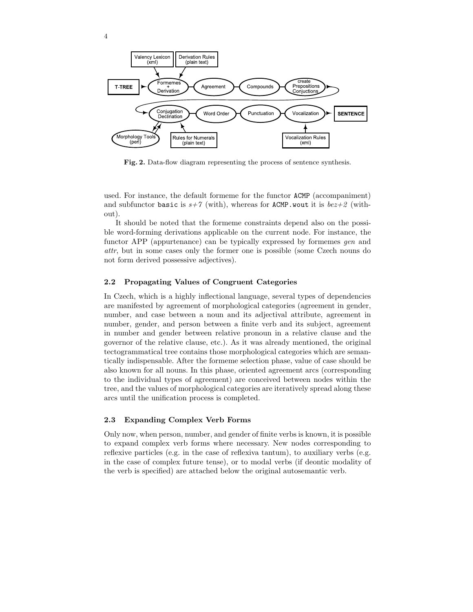

Fig. 2. Data-flow diagram representing the process of sentence synthesis.

used. For instance, the default formeme for the functor ACMP (accompaniment) and subfunctor basic is  $s+7$  (with), whereas for ACMP. wout it is  $bez+2$  (without).

It should be noted that the formeme constraints depend also on the possible word-forming derivations applicable on the current node. For instance, the functor APP (appurtenance) can be typically expressed by formemes gen and attr, but in some cases only the former one is possible (some Czech nouns do not form derived possessive adjectives).

#### 2.2 Propagating Values of Congruent Categories

4

In Czech, which is a highly inflectional language, several types of dependencies are manifested by agreement of morphological categories (agreement in gender, number, and case between a noun and its adjectival attribute, agreement in number, gender, and person between a finite verb and its subject, agreement in number and gender between relative pronoun in a relative clause and the governor of the relative clause, etc.). As it was already mentioned, the original tectogrammatical tree contains those morphological categories which are semantically indispensable. After the formeme selection phase, value of case should be also known for all nouns. In this phase, oriented agreement arcs (corresponding to the individual types of agreement) are conceived between nodes within the tree, and the values of morphological categories are iteratively spread along these arcs until the unification process is completed.

## 2.3 Expanding Complex Verb Forms

Only now, when person, number, and gender of finite verbs is known, it is possible to expand complex verb forms where necessary. New nodes corresponding to reflexive particles (e.g. in the case of reflexiva tantum), to auxiliary verbs (e.g. in the case of complex future tense), or to modal verbs (if deontic modality of the verb is specified) are attached below the original autosemantic verb.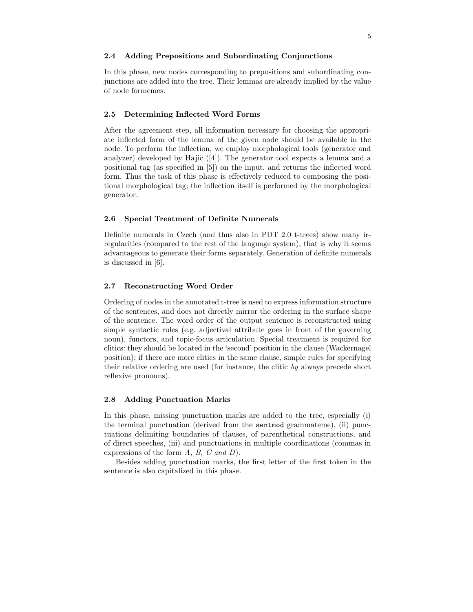#### 2.4 Adding Prepositions and Subordinating Conjunctions

In this phase, new nodes corresponding to prepositions and subordinating conjunctions are added into the tree. Their lemmas are already implied by the value of node formemes.

#### 2.5 Determining Inflected Word Forms

After the agreement step, all information necessary for choosing the appropriate inflected form of the lemma of the given node should be available in the node. To perform the inflection, we employ morphological tools (generator and analyzer) developed by Hajič  $([4])$ . The generator tool expects a lemma and a positional tag (as specified in [5]) on the input, and returns the inflected word form. Thus the task of this phase is effectively reduced to composing the positional morphological tag; the inflection itself is performed by the morphological generator.

#### 2.6 Special Treatment of Definite Numerals

Definite numerals in Czech (and thus also in PDT 2.0 t-trees) show many irregularities (compared to the rest of the language system), that is why it seems advantageous to generate their forms separately. Generation of definite numerals is discussed in [6].

#### 2.7 Reconstructing Word Order

Ordering of nodes in the annotated t-tree is used to express information structure of the sentences, and does not directly mirror the ordering in the surface shape of the sentence. The word order of the output sentence is reconstructed using simple syntactic rules (e.g. adjectival attribute goes in front of the governing noun), functors, and topic-focus articulation. Special treatment is required for clitics: they should be located in the 'second' position in the clause (Wackernagel position); if there are more clitics in the same clause, simple rules for specifying their relative ordering are used (for instance, the clitic  $by$  always precede short reflexive pronouns).

### 2.8 Adding Punctuation Marks

In this phase, missing punctuation marks are added to the tree, especially (i) the terminal punctuation (derived from the sentmod grammateme), (ii) punctuations delimiting boundaries of clauses, of parenthetical constructions, and of direct speeches, (iii) and punctuations in multiple coordinations (commas in expressions of the form  $A$ ,  $B$ ,  $C$  and  $D$ ).

Besides adding punctuation marks, the first letter of the first token in the sentence is also capitalized in this phase.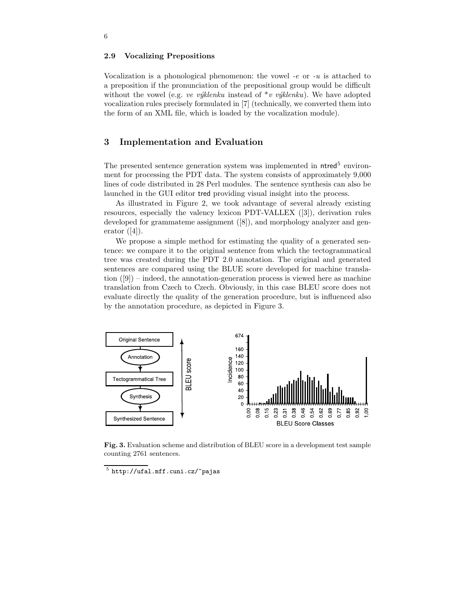#### 2.9 Vocalizing Prepositions

Vocalization is a phonological phenomenon: the vowel  $-e$  or  $-u$  is attached to a preposition if the pronunciation of the prepositional group would be difficult without the vowel (e.g. ve výklenku instead of  $*v$  výklenku). We have adopted vocalization rules precisely formulated in [7] (technically, we converted them into the form of an XML file, which is loaded by the vocalization module).

## 3 Implementation and Evaluation

The presented sentence generation system was implemented in ntred<sup>5</sup> environment for processing the PDT data. The system consists of approximately 9,000 lines of code distributed in 28 Perl modules. The sentence synthesis can also be launched in the GUI editor tred providing visual insight into the process.

As illustrated in Figure 2, we took advantage of several already existing resources, especially the valency lexicon PDT-VALLEX ([3]), derivation rules developed for grammateme assignment ([8]), and morphology analyzer and generator  $([4])$ .

We propose a simple method for estimating the quality of a generated sentence: we compare it to the original sentence from which the tectogrammatical tree was created during the PDT 2.0 annotation. The original and generated sentences are compared using the BLUE score developed for machine translation  $([9])$  – indeed, the annotation-generation process is viewed here as machine translation from Czech to Czech. Obviously, in this case BLEU score does not evaluate directly the quality of the generation procedure, but is influenced also by the annotation procedure, as depicted in Figure 3.



Fig. 3. Evaluation scheme and distribution of BLEU score in a development test sample counting 2761 sentences.

 $5$  http://ufal.mff.cuni.cz/~pajas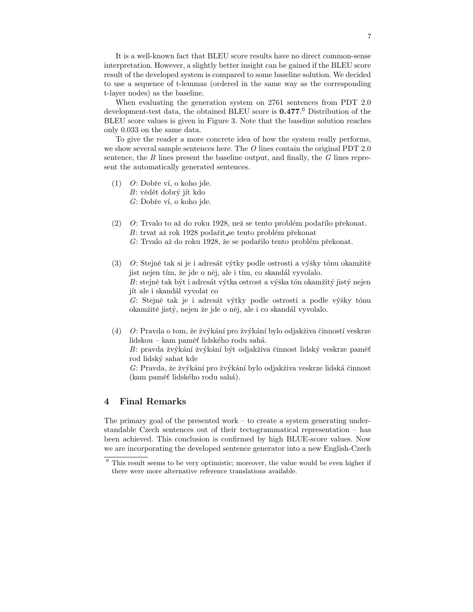It is a well-known fact that BLEU score results have no direct common-sense interpretation. However, a slightly better insight can be gained if the BLEU score result of the developed system is compared to some baseline solution. We decided to use a sequence of t-lemmas (ordered in the same way as the corresponding t-layer nodes) as the baseline.

When evaluating the generation system on 2761 sentences from PDT 2.0 development-test data, the obtained BLEU score is  $0.477$ .<sup>6</sup> Distribution of the BLEU score values is given in Figure 3. Note that the baseline solution reaches only 0.033 on the same data.

To give the reader a more concrete idea of how the system really performs, we show several sample sentences here. The O lines contain the original PDT 2.0 sentence, the  $B$  lines present the baseline output, and finally, the  $G$  lines represent the automatically generated sentences.

- $(1)$  O: Dobře ví, o koho jde.  $B:$  vědět dobrý jít kdo
	- $G:$  Dobře ví, o koho jde.
- $(2)$  O: Trvalo to až do roku 1928, než se tento problém podařilo překonat.  $B$ : trvat až rok 1928 podařit se tento problém překonat  $G:$  Trvalo až do roku 1928, že se podařilo tento problém překonat.
- (3)  $O:$  Stejně tak si je i adresát výtky podle ostrosti a výšky tónu okamžitě jist nejen tím, že jde o něj, ale i tím, co skandál vyvolalo.  $B:$  stejně tak být i adresát výtka ostrost a výška tón okamžitý jistý nejen jít ale i skandál vyvolat co  $G:$  Stejně tak je i adresát výtky podle ostrosti a podle výšky tónu okamžitě jistý, nejen že jde o něj, ale i co skandál vyvolalo.
- (4)  $O:$  Pravda o tom, že žvýkání pro žvýkání bylo odjakživa činností veskrze lidskou – kam paměť lidského rodu sahá.  $B$ : pravda žvýkání žvýkání být odjakživa činnost lidský veskrze paměť rod lidsky´ sahat kde  $G:$  Pravda, že žvýkání pro žvýkání bylo odjakživa veskrze lidská činnost (kam paměť lidského rodu sahá).

## 4 Final Remarks

The primary goal of the presented work  $-$  to create a system generating understandable Czech sentences out of their tectogrammatical representation – has been achieved. This conclusion is confirmed by high BLUE-score values. Now we are incorporating the developed sentence generator into a new English-Czech

 $6$  This result seems to be very optimistic; moreover, the value would be even higher if there were more alternative reference translations available.